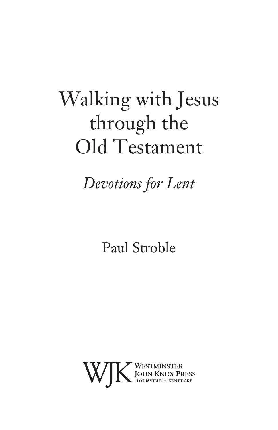# Walking with Jesus through the Old Testament

*Devotions for Lent*

Paul Stroble

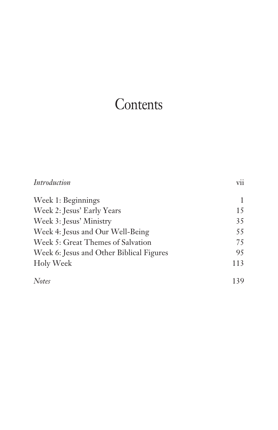# **Contents**

| <i>Introduction</i>                      | vii |
|------------------------------------------|-----|
| Week 1: Beginnings                       | 1   |
| Week 2: Jesus' Early Years               | 15  |
| Week 3: Jesus' Ministry                  | 35  |
| Week 4: Jesus and Our Well-Being         | 55  |
| Week 5: Great Themes of Salvation        | 75  |
| Week 6: Jesus and Other Biblical Figures | 95  |
| Holy Week                                | 113 |
| <b>Notes</b>                             | 139 |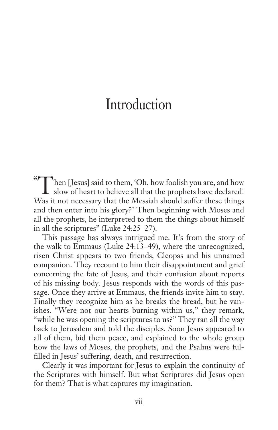### **Introduction**

" Then [Jesus] said to them, 'Oh, how foolish you are, and how slow of heart to believe all that the prophets have declared! Was it not necessary that the Messiah should suffer these things and then enter into his glory?' Then beginning with Moses and all the prophets, he interpreted to them the things about himself in all the scriptures" (Luke 24:25–27).

This passage has always intrigued me. It's from the story of the walk to Emmaus (Luke 24:13–49), where the unrecognized, risen Christ appears to two friends, Cleopas and his unnamed companion. They recount to him their disappointment and grief concerning the fate of Jesus, and their confusion about reports of his missing body. Jesus responds with the words of this passage. Once they arrive at Emmaus, the friends invite him to stay. Finally they recognize him as he breaks the bread, but he vanishes. "Were not our hearts burning within us," they remark, "while he was opening the scriptures to us?" They ran all the way back to Jerusalem and told the disciples. Soon Jesus appeared to all of them, bid them peace, and explained to the whole group how the laws of Moses, the prophets, and the Psalms were fulfilled in Jesus' suffering, death, and resurrection.

Clearly it was important for Jesus to explain the continuity of the Scriptures with himself. But what Scriptures did Jesus open for them? That is what captures my imagination.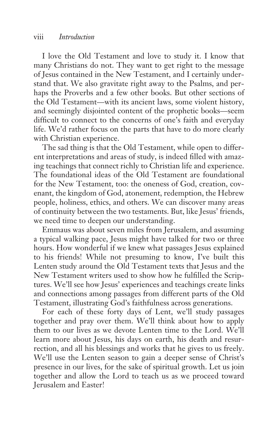I love the Old Testament and love to study it. I know that many Christians do not. They want to get right to the message of Jesus contained in the New Testament, and I certainly understand that. We also gravitate right away to the Psalms, and perhaps the Proverbs and a few other books. But other sections of the Old Testament—with its ancient laws, some violent history, and seemingly disjointed content of the prophetic books—seem difficult to connect to the concerns of one's faith and everyday life. We'd rather focus on the parts that have to do more clearly with Christian experience.

The sad thing is that the Old Testament, while open to different interpretations and areas of study, is indeed filled with amazing teachings that connect richly to Christian life and experience. The foundational ideas of the Old Testament are foundational for the New Testament, too: the oneness of God, creation, covenant, the kingdom of God, atonement, redemption, the Hebrew people, holiness, ethics, and others. We can discover many areas of continuity between the two testaments. But, like Jesus' friends, we need time to deepen our understanding.

Emmaus was about seven miles from Jerusalem, and assuming a typical walking pace, Jesus might have talked for two or three hours. How wonderful if we knew what passages Jesus explained to his friends! While not presuming to know, I've built this Lenten study around the Old Testament texts that Jesus and the New Testament writers used to show how he fulfilled the Scriptures. We'll see how Jesus' experiences and teachings create links and connections among passages from different parts of the Old Testament, illustrating God's faithfulness across generations.

For each of these forty days of Lent, we'll study passages together and pray over them. We'll think about how to apply them to our lives as we devote Lenten time to the Lord. We'll learn more about Jesus, his days on earth, his death and resurrection, and all his blessings and works that he gives to us freely. We'll use the Lenten season to gain a deeper sense of Christ's presence in our lives, for the sake of spiritual growth. Let us join together and allow the Lord to teach us as we proceed toward Jerusalem and Easter!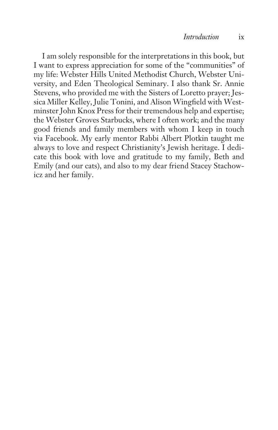I am solely responsible for the interpretations in this book, but I want to express appreciation for some of the "communities" of my life: Webster Hills United Methodist Church, Webster University, and Eden Theological Seminary. I also thank Sr. Annie Stevens, who provided me with the Sisters of Loretto prayer; Jessica Miller Kelley, Julie Tonini, and Alison Wingfield with Westminster John Knox Press for their tremendous help and expertise; the Webster Groves Starbucks, where I often work; and the many good friends and family members with whom I keep in touch via Facebook. My early mentor Rabbi Albert Plotkin taught me always to love and respect Christianity's Jewish heritage. I dedicate this book with love and gratitude to my family, Beth and Emily (and our cats), and also to my dear friend Stacey Stachowicz and her family.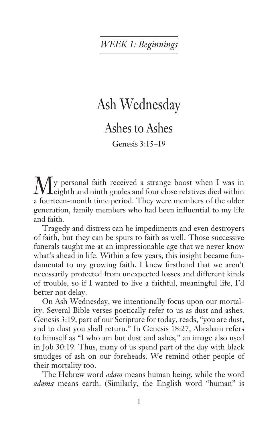*WEEK 1: Beginnings*

# Ash Wednesday

Ashes to Ashes

Genesis 3:15–19

My personal faith received a strange boost when I was in eighth and ninth grades and four close relatives died within a fourteen-month time period. They were members of the older generation, family members who had been influential to my life and faith.

Tragedy and distress can be impediments and even destroyers of faith, but they can be spurs to faith as well. Those successive funerals taught me at an impressionable age that we never know what's ahead in life. Within a few years, this insight became fundamental to my growing faith. I knew firsthand that we aren't necessarily protected from unexpected losses and different kinds of trouble, so if I wanted to live a faithful, meaningful life, I'd better not delay.

On Ash Wednesday, we intentionally focus upon our mortality. Several Bible verses poetically refer to us as dust and ashes. Genesis 3:19, part of our Scripture for today, reads, "you are dust, and to dust you shall return." In Genesis 18:27, Abraham refers to himself as "I who am but dust and ashes," an image also used in Job 30:19. Thus, many of us spend part of the day with black smudges of ash on our foreheads. We remind other people of their mortality too.

The Hebrew word *adam* means human being, while the word *adama* means earth. (Similarly, the English word "human" is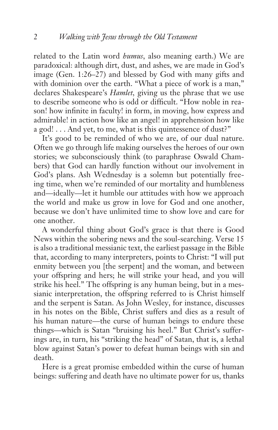related to the Latin word *humus*, also meaning earth.) We are paradoxical: although dirt, dust, and ashes, we are made in God's image (Gen. 1:26–27) and blessed by God with many gifts and with dominion over the earth. "What a piece of work is a man," declares Shakespeare's *Hamlet,* giving us the phrase that we use to describe someone who is odd or difficult. "How noble in reason! how infinite in faculty! in form, in moving, how express and admirable! in action how like an angel! in apprehension how like a god! . . . And yet, to me, what is this quintessence of dust?"

It's good to be reminded of who we are, of our dual nature. Often we go through life making ourselves the heroes of our own stories; we subconsciously think (to paraphrase Oswald Chambers) that God can hardly function without our involvement in God's plans. Ash Wednesday is a solemn but potentially freeing time, when we're reminded of our mortality and humbleness and—ideally—let it humble our attitudes with how we approach the world and make us grow in love for God and one another, because we don't have unlimited time to show love and care for one another.

A wonderful thing about God's grace is that there is Good News within the sobering news and the soul-searching. Verse 15 is also a traditional messianic text, the earliest passage in the Bible that, according to many interpreters, points to Christ: "I will put enmity between you [the serpent] and the woman, and between your offspring and hers; he will strike your head, and you will strike his heel." The offspring is any human being, but in a messianic interpretation, the offspring referred to is Christ himself and the serpent is Satan. As John Wesley, for instance, discusses in his notes on the Bible, Christ suffers and dies as a result of his human nature—the curse of human beings to endure these things—which is Satan "bruising his heel." But Christ's sufferings are, in turn, his "striking the head" of Satan, that is, a lethal blow against Satan's power to defeat human beings with sin and death.

Here is a great promise embedded within the curse of human beings: suffering and death have no ultimate power for us, thanks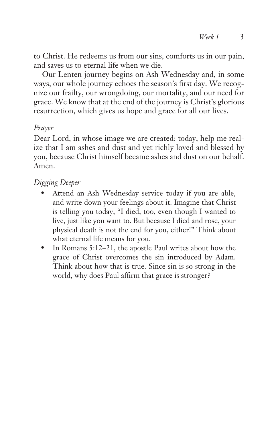to Christ. He redeems us from our sins, comforts us in our pain, and saves us to eternal life when we die.

Our Lenten journey begins on Ash Wednesday and, in some ways, our whole journey echoes the season's first day. We recognize our frailty, our wrongdoing, our mortality, and our need for grace. We know that at the end of the journey is Christ's glorious resurrection, which gives us hope and grace for all our lives.

### *Prayer*

Dear Lord, in whose image we are created: today, help me realize that I am ashes and dust and yet richly loved and blessed by you, because Christ himself became ashes and dust on our behalf. Amen.

### *Digging Deeper*

- Attend an Ash Wednesday service today if you are able, and write down your feelings about it. Imagine that Christ is telling you today, "I died, too, even though I wanted to live, just like you want to. But because I died and rose, your physical death is not the end for you, either!" Think about what eternal life means for you.
- In Romans 5:12–21, the apostle Paul writes about how the grace of Christ overcomes the sin introduced by Adam. Think about how that is true. Since sin is so strong in the world, why does Paul affirm that grace is stronger?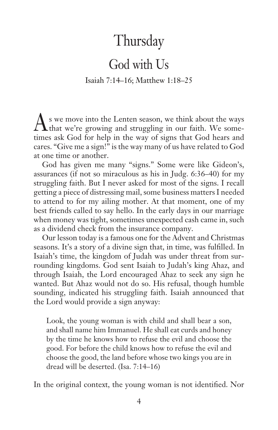# **Thursday**

### God with Us

#### Isaiah 7:14–16; Matthew 1:18–25

 $\boldsymbol{\Delta}$  s we move into the Lenten season, we think about the ways  $\Lambda$  that we're growing and struggling in our faith. We sometimes ask God for help in the way of signs that God hears and cares. "Give me a sign!" is the way many of us have related to God at one time or another.

God has given me many "signs." Some were like Gideon's, assurances (if not so miraculous as his in Judg. 6:36–40) for my struggling faith. But I never asked for most of the signs. I recall getting a piece of distressing mail, some business matters I needed to attend to for my ailing mother. At that moment, one of my best friends called to say hello. In the early days in our marriage when money was tight, sometimes unexpected cash came in, such as a dividend check from the insurance company.

Our lesson today is a famous one for the Advent and Christmas seasons. It's a story of a divine sign that, in time, was fulfilled. In Isaiah's time, the kingdom of Judah was under threat from surrounding kingdoms. God sent Isaiah to Judah's king Ahaz, and through Isaiah, the Lord encouraged Ahaz to seek any sign he wanted. But Ahaz would not do so. His refusal, though humble sounding, indicated his struggling faith. Isaiah announced that the Lord would provide a sign anyway:

Look, the young woman is with child and shall bear a son, and shall name him Immanuel. He shall eat curds and honey by the time he knows how to refuse the evil and choose the good. For before the child knows how to refuse the evil and choose the good, the land before whose two kings you are in dread will be deserted. (Isa. 7:14–16)

In the original context, the young woman is not identified. Nor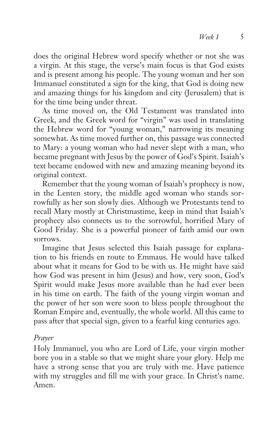does the original Hebrew word specify whether or not she was a virgin. At this stage, the verse's main focus is that God exists and is present among his people. The young woman and her son Immanuel constituted a sign for the king, that God is doing new and amazing things for his kingdom and city (Jerusalem) that is for the time being under threat.

As time moved on, the Old Testament was translated into Greek, and the Greek word for "virgin" was used in translating the Hebrew word for "young woman," narrowing its meaning somewhat. As time moved further on, this passage was connected to Mary: a young woman who had never slept with a man, who became pregnant with Jesus by the power of God's Spirit. Isaiah's text became endowed with new and amazing meaning beyond its original context.

Remember that the young woman of Isaiah's prophecy is now, in the Lenten story, the middle aged woman who stands sorrowfully as her son slowly dies. Although we Protestants tend to recall Mary mostly at Christmastime, keep in mind that Isaiah's prophecy also connects us to the sorrowful, horrified Mary of Good Friday. She is a powerful pioneer of faith amid our own sorrows.

Imagine that Jesus selected this Isaiah passage for explanation to his friends en route to Emmaus. He would have talked about what it means for God to be with us. He might have said how God was present in him (Jesus) and how, very soon, God's Spirit would make Jesus more available than he had ever been in his time on earth. The faith of the young virgin woman and the power of her son were soon to bless people throughout the Roman Empire and, eventually, the whole world. All this came to pass after that special sign, given to a fearful king centuries ago.

### *Prayer*

Holy Immanuel, you who are Lord of Life, your virgin mother bore you in a stable so that we might share your glory. Help me have a strong sense that you are truly with me. Have patience with my struggles and fill me with your grace. In Christ's name. Amen.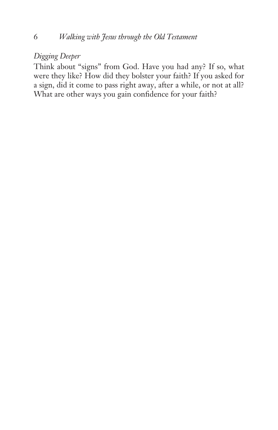### *Digging Deeper*

Think about "signs" from God. Have you had any? If so, what were they like? How did they bolster your faith? If you asked for a sign, did it come to pass right away, after a while, or not at all? What are other ways you gain confidence for your faith?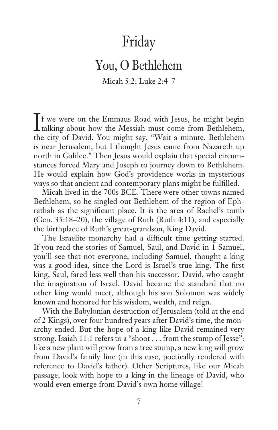# Friday

### You, O Bethlehem

Micah 5:2; Luke 2:4–7

If we were on the Emmaus Road with Jesus, he might begin talking about how the Messiah must come from Bethlehem, the city of David. You might say, "Wait a minute. Bethlehem is near Jerusalem, but I thought Jesus came from Nazareth up north in Galilee." Then Jesus would explain that special circumstances forced Mary and Joseph to journey down to Bethlehem. He would explain how God's providence works in mysterious ways so that ancient and contemporary plans might be fulfilled.

Micah lived in the 700s BCE. There were other towns named Bethlehem, so he singled out Bethlehem of the region of Ephrathah as the significant place. It is the area of Rachel's tomb (Gen. 35:18–20), the village of Ruth (Ruth 4:11), and especially the birthplace of Ruth's great-grandson, King David.

The Israelite monarchy had a difficult time getting started. If you read the stories of Samuel, Saul, and David in 1 Samuel, you'll see that not everyone, including Samuel, thought a king was a good idea, since the Lord is Israel's true king. The first king, Saul, fared less well than his successor, David, who caught the imagination of Israel. David became the standard that no other king would meet, although his son Solomon was widely known and honored for his wisdom, wealth, and reign.

With the Babylonian destruction of Jerusalem (told at the end of 2 Kings), over four hundred years after David's time, the monarchy ended. But the hope of a king like David remained very strong. Isaiah 11:1 refers to a "shoot . . . from the stump of Jesse": like a new plant will grow from a tree stump, a new king will grow from David's family line (in this case, poetically rendered with reference to David's father). Other Scriptures, like our Micah passage, look with hope to a king in the lineage of David, who would even emerge from David's own home village!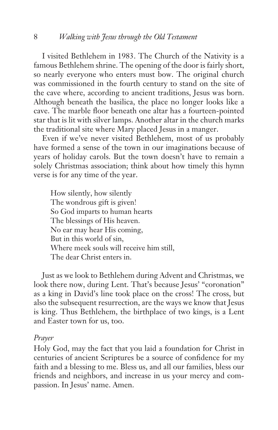I visited Bethlehem in 1983. The Church of the Nativity is a famous Bethlehem shrine. The opening of the door is fairly short, so nearly everyone who enters must bow. The original church was commissioned in the fourth century to stand on the site of the cave where, according to ancient traditions, Jesus was born. Although beneath the basilica, the place no longer looks like a cave. The marble floor beneath one altar has a fourteen-pointed star that is lit with silver lamps. Another altar in the church marks the traditional site where Mary placed Jesus in a manger.

Even if we've never visited Bethlehem, most of us probably have formed a sense of the town in our imaginations because of years of holiday carols. But the town doesn't have to remain a solely Christmas association; think about how timely this hymn verse is for any time of the year.

How silently, how silently The wondrous gift is given! So God imparts to human hearts The blessings of His heaven. No ear may hear His coming, But in this world of sin, Where meek souls will receive him still, The dear Christ enters in.

Just as we look to Bethlehem during Advent and Christmas, we look there now, during Lent. That's because Jesus' "coronation" as a king in David's line took place on the cross! The cross, but also the subsequent resurrection, are the ways we know that Jesus is king. Thus Bethlehem, the birthplace of two kings, is a Lent and Easter town for us, too.

#### *Prayer*

Holy God, may the fact that you laid a foundation for Christ in centuries of ancient Scriptures be a source of confidence for my faith and a blessing to me. Bless us, and all our families, bless our friends and neighbors, and increase in us your mercy and compassion. In Jesus' name. Amen.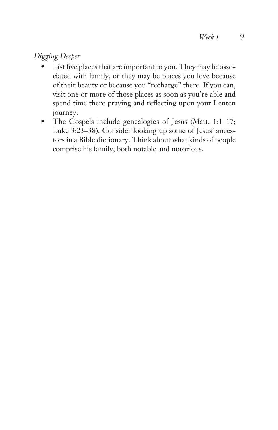### *Digging Deeper*

- List five places that are important to you. They may be associated with family, or they may be places you love because of their beauty or because you "recharge" there. If you can, visit one or more of those places as soon as you're able and spend time there praying and reflecting upon your Lenten journey.
- The Gospels include genealogies of Jesus (Matt. 1:1–17; Luke 3:23–38). Consider looking up some of Jesus' ancestors in a Bible dictionary. Think about what kinds of people comprise his family, both notable and notorious.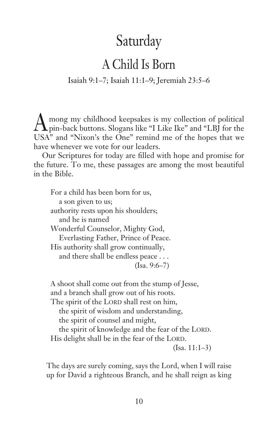# Saturday

## A Child Is Born

Isaiah 9:1–7; Isaiah 11:1–9; Jeremiah 23:5–6

A mong my childhood keepsakes is my collection of political  $\sum$  pin-back buttons. Slogans like "I Like Ike" and "LBJ for the USA" and "Nixon's the One" remind me of the hopes that we have whenever we vote for our leaders.

Our Scriptures for today are filled with hope and promise for the future. To me, these passages are among the most beautiful in the Bible.

For a child has been born for us, a son given to us; authority rests upon his shoulders; and he is named Wonderful Counselor, Mighty God, Everlasting Father, Prince of Peace. His authority shall grow continually, and there shall be endless peace . . .  $(Isa. 9:6–7)$ 

A shoot shall come out from the stump of Jesse, and a branch shall grow out of his roots. The spirit of the LORD shall rest on him, the spirit of wisdom and understanding, the spirit of counsel and might, the spirit of knowledge and the fear of the LORD. His delight shall be in the fear of the LORD. (Isa. 11:1–3)

The days are surely coming, says the Lord, when I will raise up for David a righteous Branch, and he shall reign as king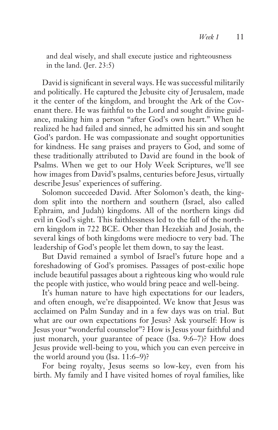and deal wisely, and shall execute justice and righteousness in the land. (Jer. 23:5)

David is significant in several ways. He was successful militarily and politically. He captured the Jebusite city of Jerusalem, made it the center of the kingdom, and brought the Ark of the Covenant there. He was faithful to the Lord and sought divine guidance, making him a person "after God's own heart." When he realized he had failed and sinned, he admitted his sin and sought God's pardon. He was compassionate and sought opportunities for kindness. He sang praises and prayers to God, and some of these traditionally attributed to David are found in the book of Psalms. When we get to our Holy Week Scriptures, we'll see how images from David's psalms, centuries before Jesus, virtually describe Jesus' experiences of suffering.

Solomon succeeded David. After Solomon's death, the kingdom split into the northern and southern (Israel, also called Ephraim, and Judah) kingdoms. All of the northern kings did evil in God's sight. This faithlessness led to the fall of the northern kingdom in 722 BCE. Other than Hezekiah and Josiah, the several kings of both kingdoms were mediocre to very bad. The leadership of God's people let them down, to say the least.

But David remained a symbol of Israel's future hope and a foreshadowing of God's promises. Passages of post-exilic hope include beautiful passages about a righteous king who would rule the people with justice, who would bring peace and well-being.

It's human nature to have high expectations for our leaders, and often enough, we're disappointed. We know that Jesus was acclaimed on Palm Sunday and in a few days was on trial. But what are our own expectations for Jesus? Ask yourself: How is Jesus your "wonderful counselor"? How is Jesus your faithful and just monarch, your guarantee of peace (Isa. 9:6–7)? How does Jesus provide well-being to you, which you can even perceive in the world around you (Isa. 11:6–9)?

For being royalty, Jesus seems so low-key, even from his birth. My family and I have visited homes of royal families, like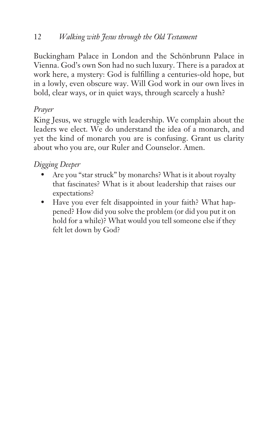Buckingham Palace in London and the Schönbrunn Palace in Vienna. God's own Son had no such luxury. There is a paradox at work here, a mystery: God is fulfilling a centuries-old hope, but in a lowly, even obscure way. Will God work in our own lives in bold, clear ways, or in quiet ways, through scarcely a hush?

### *Prayer*

King Jesus, we struggle with leadership. We complain about the leaders we elect. We do understand the idea of a monarch, and yet the kind of monarch you are is confusing. Grant us clarity about who you are, our Ruler and Counselor. Amen.

### *Digging Deeper*

- Are you "star struck" by monarchs? What is it about royalty that fascinates? What is it about leadership that raises our expectations?
- Have you ever felt disappointed in your faith? What happened? How did you solve the problem (or did you put it on hold for a while)? What would you tell someone else if they felt let down by God?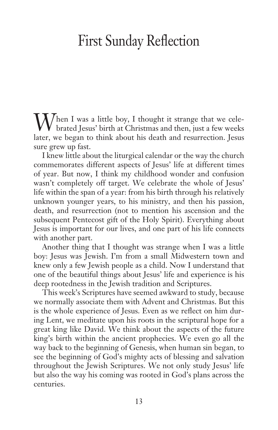# First Sunday Reflection

 $\bigvee$ hen I was a little boy, I thought it strange that we cele- $\boldsymbol{V}$  brated Jesus' birth at Christmas and then, just a few weeks later, we began to think about his death and resurrection. Jesus sure grew up fast.

I knew little about the liturgical calendar or the way the church commemorates different aspects of Jesus' life at different times of year. But now, I think my childhood wonder and confusion wasn't completely off target. We celebrate the whole of Jesus' life within the span of a year: from his birth through his relatively unknown younger years, to his ministry, and then his passion, death, and resurrection (not to mention his ascension and the subsequent Pentecost gift of the Holy Spirit). Everything about Jesus is important for our lives, and one part of his life connects with another part.

Another thing that I thought was strange when I was a little boy: Jesus was Jewish. I'm from a small Midwestern town and knew only a few Jewish people as a child. Now I understand that one of the beautiful things about Jesus' life and experience is his deep rootedness in the Jewish tradition and Scriptures.

This week's Scriptures have seemed awkward to study, because we normally associate them with Advent and Christmas. But this is the whole experience of Jesus. Even as we reflect on him during Lent, we meditate upon his roots in the scriptural hope for a great king like David. We think about the aspects of the future king's birth within the ancient prophecies. We even go all the way back to the beginning of Genesis, when human sin began, to see the beginning of God's mighty acts of blessing and salvation throughout the Jewish Scriptures. We not only study Jesus' life but also the way his coming was rooted in God's plans across the centuries.